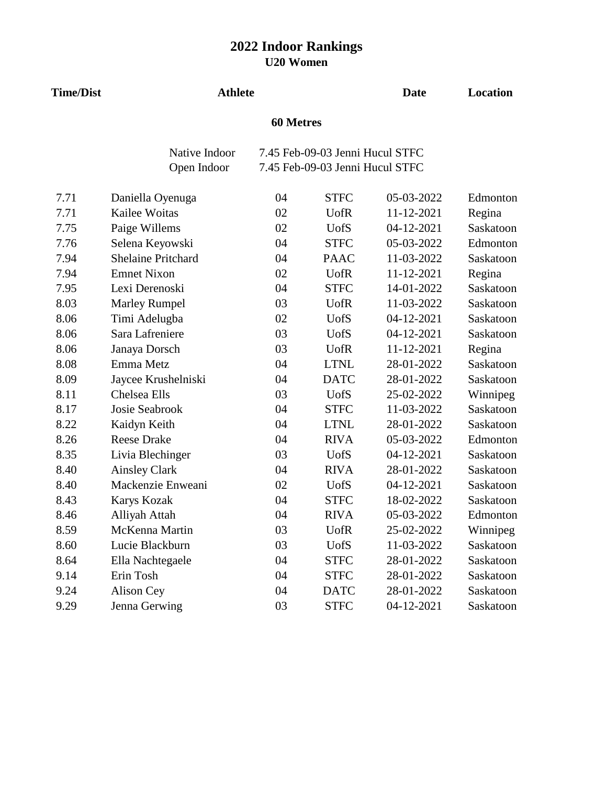| <b>Time/Dist</b> | <b>Athlete</b>            |                  |                                 | <b>Date</b> | Location  |
|------------------|---------------------------|------------------|---------------------------------|-------------|-----------|
|                  |                           | <b>60 Metres</b> |                                 |             |           |
|                  | Native Indoor             |                  | 7.45 Feb-09-03 Jenni Hucul STFC |             |           |
|                  | Open Indoor               |                  | 7.45 Feb-09-03 Jenni Hucul STFC |             |           |
| 7.71             | Daniella Oyenuga          | 04               | <b>STFC</b>                     | 05-03-2022  | Edmonton  |
| 7.71             | Kailee Woitas             | 02               | <b>U</b> ofR                    | 11-12-2021  | Regina    |
| 7.75             | Paige Willems             | 02               | <b>UofS</b>                     | 04-12-2021  | Saskatoon |
| 7.76             | Selena Keyowski           | 04               | <b>STFC</b>                     | 05-03-2022  | Edmonton  |
| 7.94             | <b>Shelaine Pritchard</b> | 04               | <b>PAAC</b>                     | 11-03-2022  | Saskatoon |
| 7.94             | <b>Emnet Nixon</b>        | 02               | <b>U</b> ofR                    | 11-12-2021  | Regina    |
| 7.95             | Lexi Derenoski            | 04               | <b>STFC</b>                     | 14-01-2022  | Saskatoon |
| 8.03             | <b>Marley Rumpel</b>      | 03               | <b>U</b> ofR                    | 11-03-2022  | Saskatoon |
| 8.06             | Timi Adelugba             | 02               | <b>UofS</b>                     | 04-12-2021  | Saskatoon |
| 8.06             | Sara Lafreniere           | 03               | <b>UofS</b>                     | 04-12-2021  | Saskatoon |
| 8.06             | Janaya Dorsch             | 03               | <b>UofR</b>                     | 11-12-2021  | Regina    |
| 8.08             | Emma Metz                 | 04               | <b>LTNL</b>                     | 28-01-2022  | Saskatoon |
| 8.09             | Jaycee Krushelniski       | 04               | <b>DATC</b>                     | 28-01-2022  | Saskatoon |
| 8.11             | Chelsea Ells              | 03               | <b>UofS</b>                     | 25-02-2022  | Winnipeg  |
| 8.17             | Josie Seabrook            | 04               | <b>STFC</b>                     | 11-03-2022  | Saskatoon |
| 8.22             | Kaidyn Keith              | 04               | <b>LTNL</b>                     | 28-01-2022  | Saskatoon |
| 8.26             | <b>Reese Drake</b>        | 04               | <b>RIVA</b>                     | 05-03-2022  | Edmonton  |
| 8.35             | Livia Blechinger          | 03               | <b>UofS</b>                     | 04-12-2021  | Saskatoon |
| 8.40             | <b>Ainsley Clark</b>      | 04               | <b>RIVA</b>                     | 28-01-2022  | Saskatoon |
| 8.40             | Mackenzie Enweani         | 02               | <b>UofS</b>                     | 04-12-2021  | Saskatoon |
| 8.43             | Karys Kozak               | 04               | <b>STFC</b>                     | 18-02-2022  | Saskatoon |
| 8.46             | Alliyah Attah             | 04               | <b>RIVA</b>                     | 05-03-2022  | Edmonton  |
| 8.59             | McKenna Martin            | 03               | <b>UofR</b>                     | 25-02-2022  | Winnipeg  |
| 8.60             | Lucie Blackburn           | 03               | <b>UofS</b>                     | 11-03-2022  | Saskatoon |
| 8.64             | Ella Nachtegaele          | 04               | <b>STFC</b>                     | 28-01-2022  | Saskatoon |
| 9.14             | Erin Tosh                 | 04               | <b>STFC</b>                     | 28-01-2022  | Saskatoon |
| 9.24             | Alison Cey                | 04               | <b>DATC</b>                     | 28-01-2022  | Saskatoon |
| 9.29             | Jenna Gerwing             | 03               | <b>STFC</b>                     | 04-12-2021  | Saskatoon |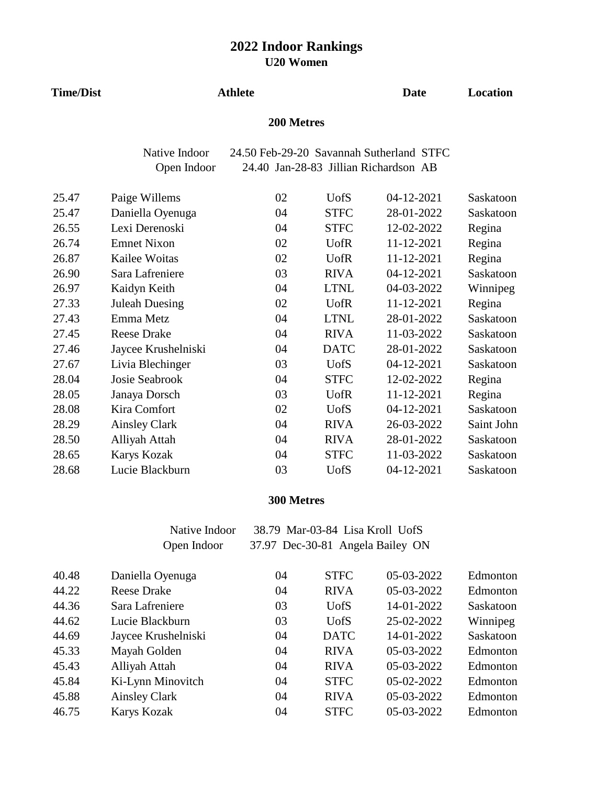| <b>Time/Dist</b> |                       | <b>Athlete</b> |              | <b>Date</b>                              | Location   |  |
|------------------|-----------------------|----------------|--------------|------------------------------------------|------------|--|
|                  | 200 Metres            |                |              |                                          |            |  |
|                  | Native Indoor         |                |              | 24.50 Feb-29-20 Savannah Sutherland STFC |            |  |
|                  | Open Indoor           |                |              | 24.40 Jan-28-83 Jillian Richardson AB    |            |  |
| 25.47            | Paige Willems         | 02             | <b>UofS</b>  | 04-12-2021                               | Saskatoon  |  |
| 25.47            | Daniella Oyenuga      | 04             | <b>STFC</b>  | 28-01-2022                               | Saskatoon  |  |
| 26.55            | Lexi Derenoski        | 04             | <b>STFC</b>  | 12-02-2022                               | Regina     |  |
| 26.74            | <b>Emnet Nixon</b>    | 02             | <b>U</b> ofR | 11-12-2021                               | Regina     |  |
| 26.87            | Kailee Woitas         | 02             | <b>U</b> ofR | 11-12-2021                               | Regina     |  |
| 26.90            | Sara Lafreniere       | 03             | <b>RIVA</b>  | 04-12-2021                               | Saskatoon  |  |
| 26.97            | Kaidyn Keith          | 04             | <b>LTNL</b>  | 04-03-2022                               | Winnipeg   |  |
| 27.33            | <b>Juleah Duesing</b> | 02             | <b>U</b> ofR | 11-12-2021                               | Regina     |  |
| 27.43            | Emma Metz             | 04             | <b>LTNL</b>  | 28-01-2022                               | Saskatoon  |  |
| 27.45            | <b>Reese Drake</b>    | 04             | <b>RIVA</b>  | 11-03-2022                               | Saskatoon  |  |
| 27.46            | Jaycee Krushelniski   | 04             | <b>DATC</b>  | 28-01-2022                               | Saskatoon  |  |
| 27.67            | Livia Blechinger      | 03             | <b>UofS</b>  | 04-12-2021                               | Saskatoon  |  |
| 28.04            | <b>Josie Seabrook</b> | 04             | <b>STFC</b>  | 12-02-2022                               | Regina     |  |
| 28.05            | Janaya Dorsch         | 03             | <b>U</b> ofR | 11-12-2021                               | Regina     |  |
| 28.08            | Kira Comfort          | 02             | <b>UofS</b>  | 04-12-2021                               | Saskatoon  |  |
| 28.29            | <b>Ainsley Clark</b>  | 04             | <b>RIVA</b>  | 26-03-2022                               | Saint John |  |
| 28.50            | Alliyah Attah         | 04             | <b>RIVA</b>  | 28-01-2022                               | Saskatoon  |  |
| 28.65            | Karys Kozak           | 04             | <b>STFC</b>  | 11-03-2022                               | Saskatoon  |  |
| 28.68            | Lucie Blackburn       | 03             | <b>UofS</b>  | 04-12-2021                               | Saskatoon  |  |

### **300 Metres**

| Native Indoor | 38.79 Mar-03-84 Lisa Kroll UofS  |  |
|---------------|----------------------------------|--|
| Open Indoor   | 37.97 Dec-30-81 Angela Bailey ON |  |

| 40.48 | Daniella Oyenuga    | 04 | <b>STFC</b> | 05-03-2022 | Edmonton  |
|-------|---------------------|----|-------------|------------|-----------|
| 44.22 | <b>Reese Drake</b>  | 04 | <b>RIVA</b> | 05-03-2022 | Edmonton  |
| 44.36 | Sara Lafreniere     | 03 | <b>UofS</b> | 14-01-2022 | Saskatoon |
| 44.62 | Lucie Blackburn     | 03 | <b>UofS</b> | 25-02-2022 | Winnipeg  |
| 44.69 | Jaycee Krushelniski | 04 | <b>DATC</b> | 14-01-2022 | Saskatoon |
| 45.33 | Mayah Golden        | 04 | <b>RIVA</b> | 05-03-2022 | Edmonton  |
| 45.43 | Alliyah Attah       | 04 | <b>RIVA</b> | 05-03-2022 | Edmonton  |
| 45.84 | Ki-Lynn Minovitch   | 04 | <b>STFC</b> | 05-02-2022 | Edmonton  |
| 45.88 | Ainsley Clark       | 04 | <b>RIVA</b> | 05-03-2022 | Edmonton  |
| 46.75 | <b>Karys Kozak</b>  | 04 | <b>STFC</b> | 05-03-2022 | Edmonton  |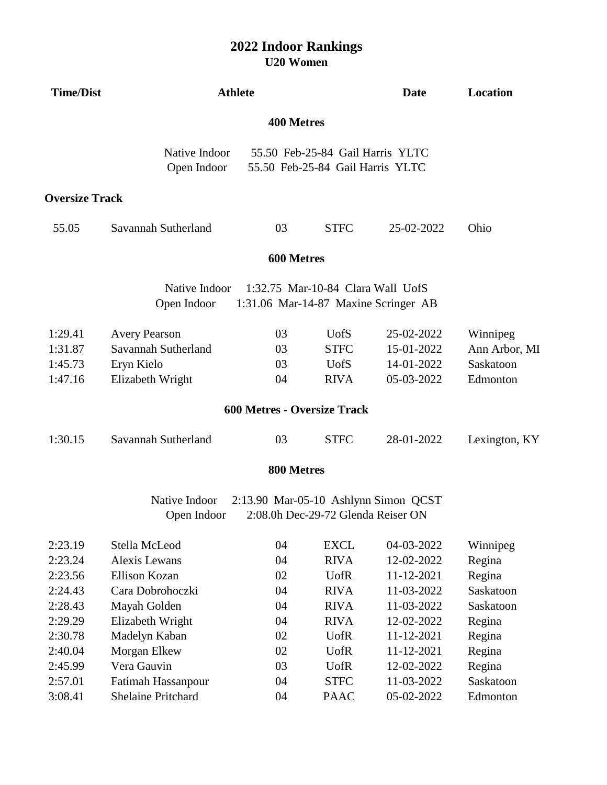| <b>Time/Dist</b>      | <b>Athlete</b>               |                                    |                                                                      | <b>Date</b>                          | Location      |
|-----------------------|------------------------------|------------------------------------|----------------------------------------------------------------------|--------------------------------------|---------------|
|                       |                              | <b>400 Metres</b>                  |                                                                      |                                      |               |
|                       | Native Indoor<br>Open Indoor |                                    | 55.50 Feb-25-84 Gail Harris YLTC<br>55.50 Feb-25-84 Gail Harris YLTC |                                      |               |
| <b>Oversize Track</b> |                              |                                    |                                                                      |                                      |               |
| 55.05                 | Savannah Sutherland          | 03                                 | <b>STFC</b>                                                          | 25-02-2022                           | Ohio          |
|                       |                              | 600 Metres                         |                                                                      |                                      |               |
|                       | Native Indoor                |                                    | 1:32.75 Mar-10-84 Clara Wall UofS                                    |                                      |               |
|                       | Open Indoor                  |                                    |                                                                      | 1:31.06 Mar-14-87 Maxine Scringer AB |               |
| 1:29.41               | <b>Avery Pearson</b>         | 03                                 | <b>U</b> ofS                                                         | 25-02-2022                           | Winnipeg      |
| 1:31.87               | Savannah Sutherland          | 03                                 | <b>STFC</b>                                                          | 15-01-2022                           | Ann Arbor, MI |
| 1:45.73               | Eryn Kielo                   | 03                                 | <b>UofS</b>                                                          | 14-01-2022                           | Saskatoon     |
| 1:47.16               | Elizabeth Wright             | 04                                 | <b>RIVA</b>                                                          | 05-03-2022                           | Edmonton      |
|                       |                              | <b>600 Metres - Oversize Track</b> |                                                                      |                                      |               |
| 1:30.15               | Savannah Sutherland          | 03                                 | <b>STFC</b>                                                          | 28-01-2022                           | Lexington, KY |
|                       |                              | 800 Metres                         |                                                                      |                                      |               |
|                       | Native Indoor                |                                    |                                                                      | 2:13.90 Mar-05-10 Ashlynn Simon QCST |               |
|                       | Open Indoor                  |                                    | 2:08.0h Dec-29-72 Glenda Reiser ON                                   |                                      |               |
| 2:23.19               | Stella McLeod                | 04                                 | <b>EXCL</b>                                                          | 04-03-2022                           | Winnipeg      |
| 2:23.24               | <b>Alexis Lewans</b>         | 04                                 | <b>RIVA</b>                                                          | 12-02-2022                           | Regina        |
| 2:23.56               | <b>Ellison Kozan</b>         | 02                                 | <b>UofR</b>                                                          | 11-12-2021                           | Regina        |
| 2:24.43               | Cara Dobrohoczki             | 04                                 | <b>RIVA</b>                                                          | 11-03-2022                           | Saskatoon     |
| 2:28.43               | Mayah Golden                 | 04                                 | <b>RIVA</b>                                                          | 11-03-2022                           | Saskatoon     |
| 2:29.29               | Elizabeth Wright             | 04                                 | <b>RIVA</b>                                                          | 12-02-2022                           | Regina        |
| 2:30.78               | Madelyn Kaban                | 02                                 | <b>UofR</b>                                                          | 11-12-2021                           | Regina        |
| 2:40.04               | Morgan Elkew                 | 02                                 | <b>UofR</b>                                                          | 11-12-2021                           | Regina        |
| 2:45.99               | Vera Gauvin                  | 03                                 | <b>UofR</b>                                                          | 12-02-2022                           | Regina        |
| 2:57.01               | Fatimah Hassanpour           | 04                                 | <b>STFC</b>                                                          | 11-03-2022                           | Saskatoon     |
| 3:08.41               | <b>Shelaine Pritchard</b>    | 04                                 | <b>PAAC</b>                                                          | 05-02-2022                           | Edmonton      |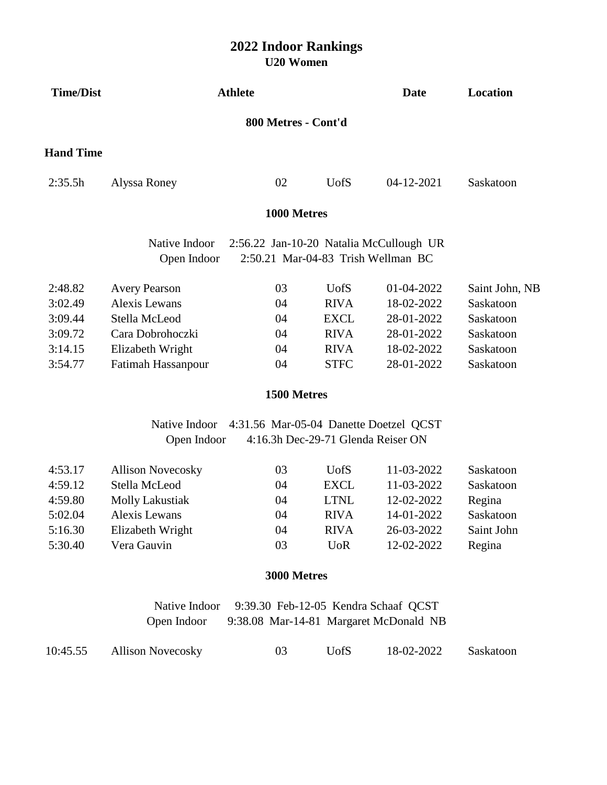| <b>Time/Dist</b> | <b>Athlete</b>               |                                                                                |             | <b>Date</b> | Location       |  |  |  |  |
|------------------|------------------------------|--------------------------------------------------------------------------------|-------------|-------------|----------------|--|--|--|--|
|                  | 800 Metres - Cont'd          |                                                                                |             |             |                |  |  |  |  |
| <b>Hand Time</b> |                              |                                                                                |             |             |                |  |  |  |  |
| 2:35.5h          | Alyssa Roney                 | 02                                                                             | <b>UofS</b> | 04-12-2021  | Saskatoon      |  |  |  |  |
|                  |                              | 1000 Metres                                                                    |             |             |                |  |  |  |  |
|                  | Native Indoor                | 2:56.22 Jan-10-20 Natalia McCullough UR                                        |             |             |                |  |  |  |  |
|                  | Open Indoor                  | 2:50.21 Mar-04-83 Trish Wellman BC                                             |             |             |                |  |  |  |  |
| 2:48.82          | <b>Avery Pearson</b>         | 03                                                                             | <b>UofS</b> | 01-04-2022  | Saint John, NB |  |  |  |  |
| 3:02.49          | <b>Alexis Lewans</b>         | 04                                                                             | <b>RIVA</b> | 18-02-2022  | Saskatoon      |  |  |  |  |
| 3:09.44          | Stella McLeod                | 04                                                                             | <b>EXCL</b> | 28-01-2022  | Saskatoon      |  |  |  |  |
| 3:09.72          | Cara Dobrohoczki             | 04                                                                             | <b>RIVA</b> | 28-01-2022  | Saskatoon      |  |  |  |  |
| 3:14.15          | Elizabeth Wright             | 04                                                                             | <b>RIVA</b> | 18-02-2022  | Saskatoon      |  |  |  |  |
| 3:54.77          | Fatimah Hassanpour           | 04                                                                             | <b>STFC</b> | 28-01-2022  | Saskatoon      |  |  |  |  |
|                  |                              | 1500 Metres                                                                    |             |             |                |  |  |  |  |
|                  | Native Indoor                | 4:31.56 Mar-05-04 Danette Doetzel QCST                                         |             |             |                |  |  |  |  |
|                  | Open Indoor                  | 4:16.3h Dec-29-71 Glenda Reiser ON                                             |             |             |                |  |  |  |  |
| 4:53.17          | <b>Allison Novecosky</b>     | 03                                                                             | <b>UofS</b> | 11-03-2022  | Saskatoon      |  |  |  |  |
| 4:59.12          | Stella McLeod                | 04                                                                             | <b>EXCL</b> | 11-03-2022  | Saskatoon      |  |  |  |  |
| 4:59.80          | <b>Molly Lakustiak</b>       | 04                                                                             | <b>LTNL</b> | 12-02-2022  | Regina         |  |  |  |  |
| 5:02.04          | Alexis Lewans                | 04                                                                             | <b>RIVA</b> | 14-01-2022  | Saskatoon      |  |  |  |  |
| 5:16.30          | Elizabeth Wright             | 04                                                                             | <b>RIVA</b> | 26-03-2022  | Saint John     |  |  |  |  |
| 5:30.40          | Vera Gauvin                  | 03                                                                             | <b>UoR</b>  | 12-02-2022  | Regina         |  |  |  |  |
|                  |                              | 3000 Metres                                                                    |             |             |                |  |  |  |  |
|                  | Native Indoor<br>Open Indoor | 9:39.30 Feb-12-05 Kendra Schaaf QCST<br>9:38.08 Mar-14-81 Margaret McDonald NB |             |             |                |  |  |  |  |
| 10:45.55         | <b>Allison Novecosky</b>     | 03                                                                             | <b>UofS</b> | 18-02-2022  | Saskatoon      |  |  |  |  |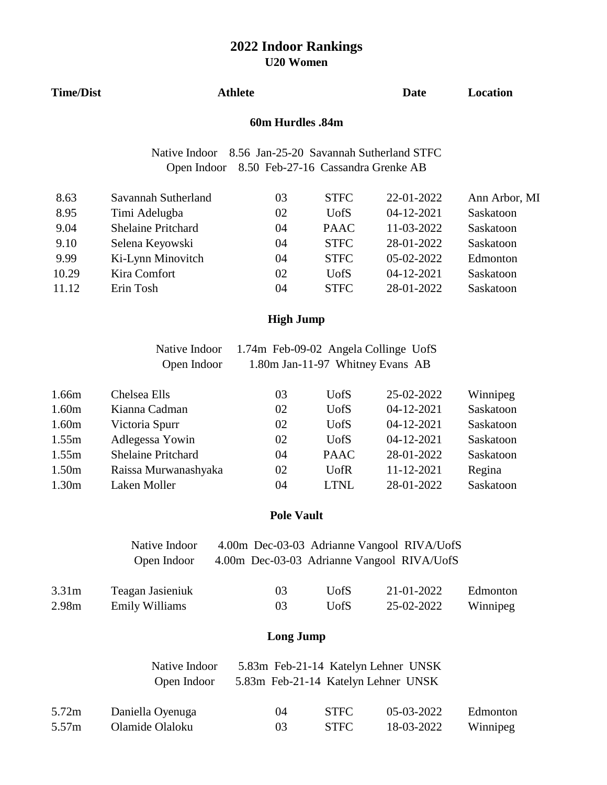|                   |                           | UZU VYUHICH                          |              |                                            |                 |
|-------------------|---------------------------|--------------------------------------|--------------|--------------------------------------------|-----------------|
| <b>Time/Dist</b>  | <b>Athlete</b>            |                                      |              | <b>Date</b>                                | <b>Location</b> |
|                   |                           | 60m Hurdles .84m                     |              |                                            |                 |
|                   | Native Indoor             |                                      |              | 8.56 Jan-25-20 Savannah Sutherland STFC    |                 |
|                   | Open Indoor               | 8.50 Feb-27-16 Cassandra Grenke AB   |              |                                            |                 |
| 8.63              | Savannah Sutherland       | 03                                   | <b>STFC</b>  | 22-01-2022                                 | Ann Arbor, MI   |
| 8.95              | Timi Adelugba             | 02                                   | <b>UofS</b>  | 04-12-2021                                 | Saskatoon       |
| 9.04              | <b>Shelaine Pritchard</b> | 04                                   | <b>PAAC</b>  | 11-03-2022                                 | Saskatoon       |
| 9.10              | Selena Keyowski           | 04                                   | <b>STFC</b>  | 28-01-2022                                 | Saskatoon       |
| 9.99              | Ki-Lynn Minovitch         | 04                                   | <b>STFC</b>  | 05-02-2022                                 | Edmonton        |
| 10.29             | Kira Comfort              | 02                                   | <b>UofS</b>  | 04-12-2021                                 | Saskatoon       |
| 11.12             | Erin Tosh                 | 04                                   | <b>STFC</b>  | 28-01-2022                                 | Saskatoon       |
|                   |                           | <b>High Jump</b>                     |              |                                            |                 |
|                   | Native Indoor             | 1.74m Feb-09-02 Angela Collinge UofS |              |                                            |                 |
|                   | Open Indoor               | 1.80m Jan-11-97 Whitney Evans AB     |              |                                            |                 |
| 1.66m             | Chelsea Ells              | 03                                   | <b>U</b> ofS | 25-02-2022                                 | Winnipeg        |
| 1.60m             | Kianna Cadman             | 02                                   | <b>UofS</b>  | 04-12-2021                                 | Saskatoon       |
| 1.60m             | Victoria Spurr            | 02                                   | <b>UofS</b>  | 04-12-2021                                 | Saskatoon       |
| 1.55m             | Adlegessa Yowin           | 02                                   | <b>UofS</b>  | 04-12-2021                                 | Saskatoon       |
| 1.55m             | <b>Shelaine Pritchard</b> | 04                                   | <b>PAAC</b>  | 28-01-2022                                 | Saskatoon       |
| 1.50m             | Raissa Murwanashyaka      | 02                                   | <b>UofR</b>  | 11-12-2021                                 | Regina          |
| 1.30m             | Laken Moller              | 04                                   | <b>LTNL</b>  | 28-01-2022                                 | Saskatoon       |
|                   |                           | <b>Pole Vault</b>                    |              |                                            |                 |
|                   | Native Indoor             |                                      |              | 4.00m Dec-03-03 Adrianne Vangool RIVA/UofS |                 |
|                   | Open Indoor               |                                      |              | 4.00m Dec-03-03 Adrianne Vangool RIVA/UofS |                 |
| 3.31 <sub>m</sub> | Teagan Jasieniuk          | 03                                   | <b>UofS</b>  | 21-01-2022                                 | Edmonton        |
| 2.98m             | <b>Emily Williams</b>     | 03                                   | <b>UofS</b>  | 25-02-2022                                 | Winnipeg        |
|                   |                           | <b>Long Jump</b>                     |              |                                            |                 |
|                   | Native Indoor             |                                      |              | 5.83m Feb-21-14 Katelyn Lehner UNSK        |                 |
|                   | Open Indoor               | 5.83m Feb-21-14 Katelyn Lehner UNSK  |              |                                            |                 |
| 5.72m             | Daniella Oyenuga          | 04                                   | <b>STFC</b>  | 05-03-2022                                 | Edmonton        |
| 5.57m             | Olamide Olaloku           | 03                                   | <b>STFC</b>  | 18-03-2022                                 | Winnipeg        |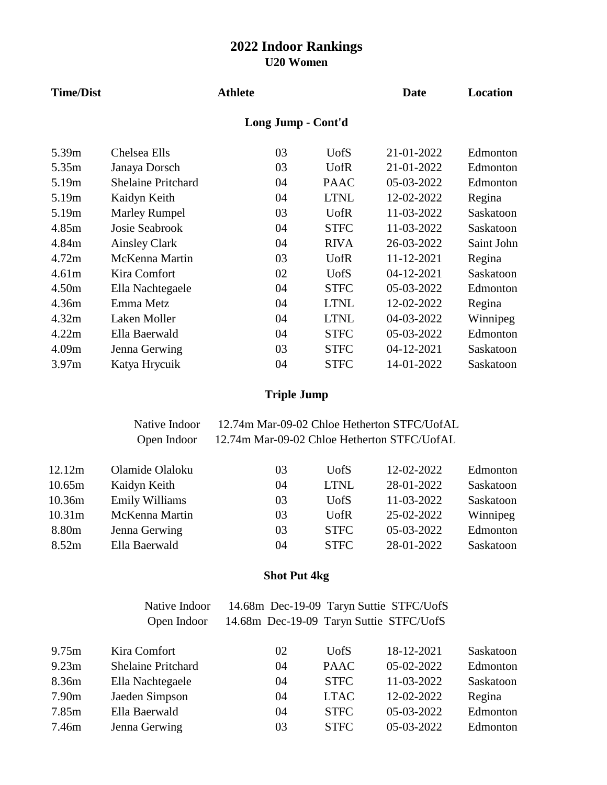| <b>Time/Dist</b> |                           | <b>Athlete</b>     |              | <b>Date</b> | Location   |
|------------------|---------------------------|--------------------|--------------|-------------|------------|
|                  |                           | Long Jump - Cont'd |              |             |            |
| 5.39m            | Chelsea Ells              | 03                 | <b>UofS</b>  | 21-01-2022  | Edmonton   |
| 5.35m            | Janaya Dorsch             | 03                 | <b>U</b> ofR | 21-01-2022  | Edmonton   |
| 5.19m            | <b>Shelaine Pritchard</b> | 04                 | <b>PAAC</b>  | 05-03-2022  | Edmonton   |
| 5.19m            | Kaidyn Keith              | 04                 | <b>LTNL</b>  | 12-02-2022  | Regina     |
| 5.19m            | <b>Marley Rumpel</b>      | 03                 | <b>U</b> ofR | 11-03-2022  | Saskatoon  |
| 4.85m            | <b>Josie Seabrook</b>     | 04                 | <b>STFC</b>  | 11-03-2022  | Saskatoon  |
| 4.84m            | <b>Ainsley Clark</b>      | 04                 | <b>RIVA</b>  | 26-03-2022  | Saint John |
| 4.72m            | McKenna Martin            | 03                 | <b>U</b> ofR | 11-12-2021  | Regina     |
| 4.61m            | Kira Comfort              | 02                 | <b>UofS</b>  | 04-12-2021  | Saskatoon  |
| 4.50m            | Ella Nachtegaele          | 04                 | <b>STFC</b>  | 05-03-2022  | Edmonton   |
| 4.36m            | Emma Metz                 | 04                 | <b>LTNL</b>  | 12-02-2022  | Regina     |
| 4.32m            | Laken Moller              | 04                 | <b>LTNL</b>  | 04-03-2022  | Winnipeg   |
| 4.22m            | Ella Baerwald             | 04                 | <b>STFC</b>  | 05-03-2022  | Edmonton   |
| 4.09m            | Jenna Gerwing             | 03                 | <b>STFC</b>  | 04-12-2021  | Saskatoon  |
| 3.97m            | Katya Hrycuik             | 04                 | <b>STFC</b>  | 14-01-2022  | Saskatoon  |

# **Triple Jump**

| Native Indoor | 12.74m Mar-09-02 Chloe Hetherton STFC/UofAL |
|---------------|---------------------------------------------|
| Open Indoor   | 12.74m Mar-09-02 Chloe Hetherton STFC/UofAL |

| 12.12m             | Olamide Olaloku       | 03 | <b>U</b> ofS | 12-02-2022 | Edmonton  |
|--------------------|-----------------------|----|--------------|------------|-----------|
| 10.65m             | Kaidyn Keith          | 04 | <b>LTNL</b>  | 28-01-2022 | Saskatoon |
| 10.36m             | <b>Emily Williams</b> | 03 | UofS         | 11-03-2022 | Saskatoon |
| 10.31 <sub>m</sub> | McKenna Martin        | 03 | <b>U</b> ofR | 25-02-2022 | Winnipeg  |
| 8.80 <sub>m</sub>  | Jenna Gerwing         | 03 | <b>STFC</b>  | 05-03-2022 | Edmonton  |
| 8.52m              | Ella Baerwald         | 04 | <b>STFC</b>  | 28-01-2022 | Saskatoon |

# **Shot Put 4kg**

|       | Native Indoor             | 14.68m Dec-19-09 Taryn Suttie STFC/UofS |             |            |           |
|-------|---------------------------|-----------------------------------------|-------------|------------|-----------|
|       | Open Indoor               | 14.68m Dec-19-09 Taryn Suttie STFC/UofS |             |            |           |
| 9.75m | Kira Comfort              | 02                                      | <b>UofS</b> | 18-12-2021 | Saskatoon |
| 9.23m | <b>Shelaine Pritchard</b> | 04                                      | <b>PAAC</b> | 05-02-2022 | Edmonton  |
| 8.36m | Ella Nachtegaele          | 04                                      | <b>STFC</b> | 11-03-2022 | Saskatoon |
| 7.90m | Jaeden Simpson            | 04                                      | <b>LTAC</b> | 12-02-2022 | Regina    |
| 7.85m | Ella Baerwald             | 04                                      | <b>STFC</b> | 05-03-2022 | Edmonton  |
| 7.46m | Jenna Gerwing             | 03                                      | <b>STFC</b> | 05-03-2022 | Edmonton  |